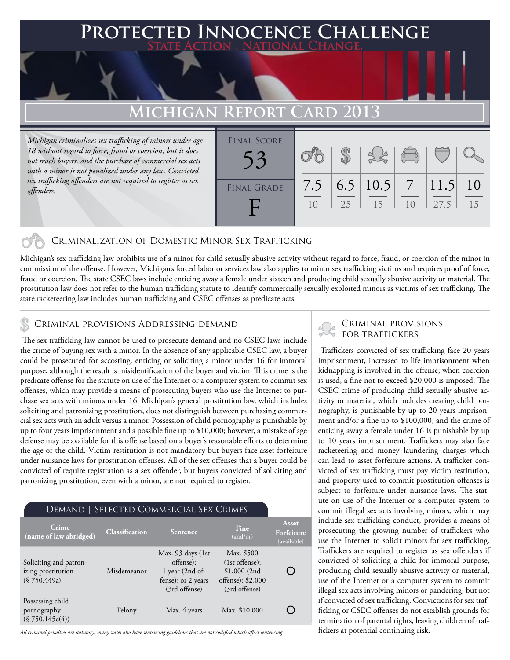### **FED INNOCENCE CHALLENGE State Action . National Change.**

## **Michigan Report Card 2013**

*Michigan criminalizes sex trafficking of minors under age 18 without regard to force, fraud or coercion, but it does not reach buyers, and the purchase of commercial sex acts with a minor is not penalized under any law. Convicted sex trafficking offenders are not required to register as sex offenders.*

| <b>FINAL SCORE</b> |                       |    |                      | $\begin{pmatrix} 0 & 0 \\ 0 & 0 \end{pmatrix}$ |               |          |
|--------------------|-----------------------|----|----------------------|------------------------------------------------|---------------|----------|
| <b>FINAL GRADE</b> | 7.5<br>1 <sub>0</sub> | 25 | 6.5   10.5   7<br>15 | 10                                             | 11.5 <br>27.5 | 10<br>15 |

### Criminalization of Domestic Minor Sex Trafficking

Michigan's sex trafficking law prohibits use of a minor for child sexually abusive activity without regard to force, fraud, or coercion of the minor in commission of the offense. However, Michigan's forced labor or services law also applies to minor sex trafficking victims and requires proof of force, fraud or coercion. The state CSEC laws include enticing away a female under sixteen and producing child sexually abusive activity or material. The prostitution law does not refer to the human trafficking statute to identify commercially sexually exploited minors as victims of sex trafficking. The state racketeering law includes human trafficking and CSEC offenses as predicate acts.

## CRIMINAL PROVISIONS ADDRESSING DEMAND<br>FOR TRAFFICKERS

 The sex trafficking law cannot be used to prosecute demand and no CSEC laws include the crime of buying sex with a minor. In the absence of any applicable CSEC law, a buyer could be prosecuted for accosting, enticing or soliciting a minor under 16 for immoral purpose, although the result is misidentification of the buyer and victim. This crime is the predicate offense for the statute on use of the Internet or a computer system to commit sex offenses, which may provide a means of prosecuting buyers who use the Internet to purchase sex acts with minors under 16. Michigan's general prostitution law, which includes soliciting and patronizing prostitution, does not distinguish between purchasing commercial sex acts with an adult versus a minor. Possession of child pornography is punishable by up to four years imprisonment and a possible fine up to \$10,000; however, a mistake of age defense may be available for this offense based on a buyer's reasonable efforts to determine the age of the child. Victim restitution is not mandatory but buyers face asset forfeiture under nuisance laws for prostitution offenses. All of the sex offenses that a buyer could be convicted of require registration as a sex offender, but buyers convicted of soliciting and patronizing prostitution, even with a minor, are not required to register.

| DEMAND   SELECTED COMMERCIAL SEX CRIMES                      |                       |                                                                                           |                                                                                      |                                    |  |  |  |  |
|--------------------------------------------------------------|-----------------------|-------------------------------------------------------------------------------------------|--------------------------------------------------------------------------------------|------------------------------------|--|--|--|--|
| Crime<br>(name of law abridged)                              | <b>Classification</b> | <b>Sentence</b>                                                                           | Fine<br>(and/or)                                                                     | Asset<br>Forfeiture<br>(available) |  |  |  |  |
| Soliciting and patron-<br>izing prostitution<br>(S 750.449a) | Misdemeanor           | Max. 93 days (1st)<br>offense);<br>1 year (2nd of-<br>fense); or 2 years<br>(3rd offense) | Max. \$500<br>$(1st$ offense);<br>\$1,000(2nd)<br>offense); \$2,000<br>(3rd offense) |                                    |  |  |  |  |
| Possessing child<br>pornography<br>(\$750.145c(4))           | Felony                | Max. 4 years                                                                              | Max. \$10,000                                                                        |                                    |  |  |  |  |

*All criminal penalties are statutory; many states also have sentencing guidelines that are not codified which affect sentencing.* 

# Criminal provisions

 Traffickers convicted of sex trafficking face 20 years imprisonment, increased to life imprisonment when kidnapping is involved in the offense; when coercion is used, a fine not to exceed \$20,000 is imposed. The CSEC crime of producing child sexually abusive activity or material, which includes creating child pornography, is punishable by up to 20 years imprisonment and/or a fine up to \$100,000, and the crime of enticing away a female under 16 is punishable by up to 10 years imprisonment. Traffickers may also face racketeering and money laundering charges which can lead to asset forfeiture actions. A trafficker convicted of sex trafficking must pay victim restitution, and property used to commit prostitution offenses is subject to forfeiture under nuisance laws. The statute on use of the Internet or a computer system to commit illegal sex acts involving minors, which may include sex trafficking conduct, provides a means of prosecuting the growing number of traffickers who use the Internet to solicit minors for sex trafficking. Traffickers are required to register as sex offenders if convicted of soliciting a child for immoral purpose, producing child sexually abusive activity or material, use of the Internet or a computer system to commit illegal sex acts involving minors or pandering, but not if convicted of sex trafficking. Convictions for sex trafficking or CSEC offenses do not establish grounds for termination of parental rights, leaving children of traffickers at potential continuing risk.